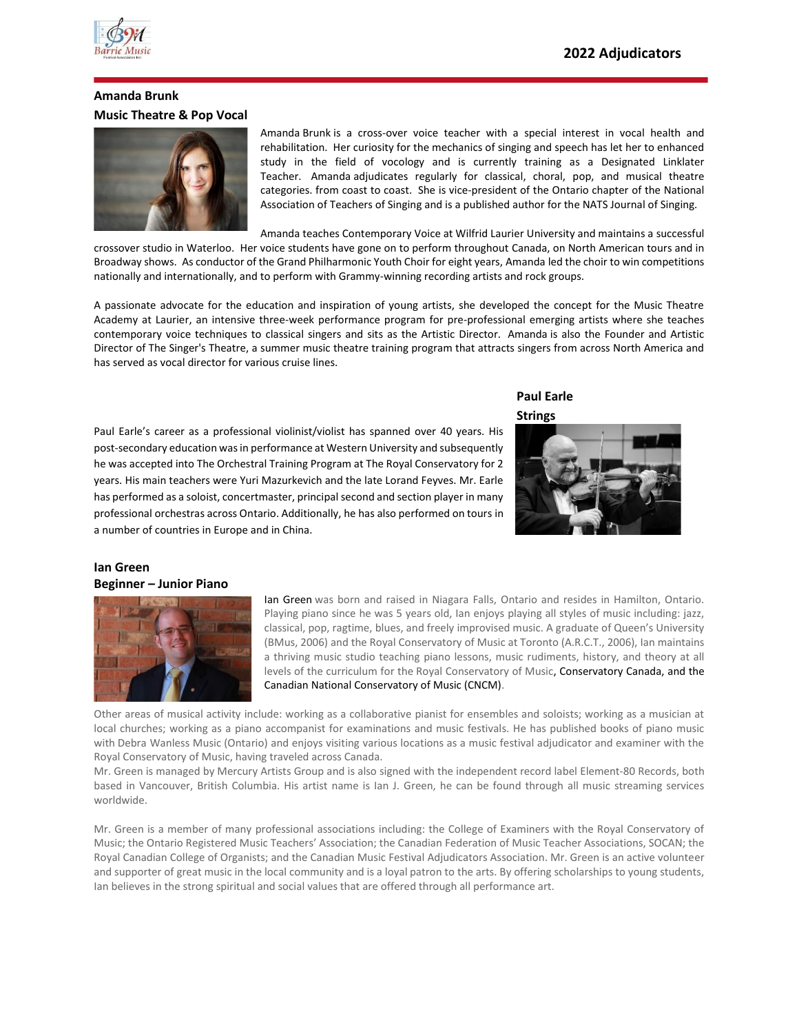

## **Amanda Brunk Music Theatre & Pop Vocal**



Amanda Brunk is a cross-over voice teacher with a special interest in vocal health and rehabilitation. Her curiosity for the mechanics of singing and speech has let her to enhanced study in the field of vocology and is currently training as a Designated Linklater Teacher. Amanda adjudicates regularly for classical, choral, pop, and musical theatre categories. from coast to coast. She is vice-president of the Ontario chapter of the National Association of Teachers of Singing and is a published author for the NATS Journal of Singing.

Amanda teaches Contemporary Voice at Wilfrid Laurier University and maintains a successful crossover studio in Waterloo. Her voice students have gone on to perform throughout Canada, on North American tours and in

Broadway shows. As conductor of the Grand Philharmonic Youth Choir for eight years, Amanda led the choir to win competitions nationally and internationally, and to perform with Grammy-winning recording artists and rock groups.

A passionate advocate for the education and inspiration of young artists, she developed the concept for the Music Theatre Academy at Laurier, an intensive three-week performance program for pre-professional emerging artists where she teaches contemporary voice techniques to classical singers and sits as the Artistic Director. Amanda is also the Founder and Artistic Director of The Singer's Theatre, a summer music theatre training program that attracts singers from across North America and has served as vocal director for various cruise lines.

Paul Earle's career as a professional violinist/violist has spanned over 40 years. His post-secondary education was in performance at Western University and subsequently he was accepted into The Orchestral Training Program at The Royal Conservatory for 2 years. His main teachers were Yuri Mazurkevich and the late Lorand Feyves. Mr. Earle has performed as a soloist, concertmaster, principal second and section player in many professional orchestras across Ontario. Additionally, he has also performed on tours in a number of countries in Europe and in China.

## **Paul Earle Strings**



### **Ian Green Beginner – Junior Piano**



Ian Green was born and raised in Niagara Falls, Ontario and resides in Hamilton, Ontario. Playing piano since he was 5 years old, Ian enjoys playing all styles of music including: jazz, classical, pop, ragtime, blues, and freely improvised music. A graduate of Queen's University (BMus, 2006) and the Royal Conservatory of Music at Toronto (A.R.C.T., 2006), Ian maintains a thriving music studio teaching piano lessons, music rudiments, history, and theory at all levels of the curriculum for the [Royal Conservatory of Music,](http://www.rcmusic.ca/) Conservatory Canada, and the Canadian National Conservatory of Music (CNCM).

Other areas of musical activity include: working as a collaborative pianist for ensembles and soloists; working as a musician at local churches; working as a piano accompanist for examinations and music festivals. He has published books of piano music with [Debra Wanless Music](http://www.debrawanless.ca/) (Ontario) and enjoys visiting various locations as a music festival adjudicator and examiner with the Royal Conservatory of Music, having traveled across Canada.

Mr. Green is managed by [Mercury Artists Group](http://www.mercuryartists.com/) and is also signed with the independent record label [Element-80 Records,](https://mercuryartists.com/element-80-records/) both based in Vancouver, British Columbia. His artist name is Ian J. Green, he can be found through all music streaming services worldwide.

Mr. Green is a member of many professional associations including: the College of Examiners with the Royal Conservatory of Music; the Ontario Registered Music Teachers' Association; the Canadian Federation of Music Teacher Associations, SOCAN; the Royal Canadian College of Organists; and the Canadian Music Festival Adjudicators Association. Mr. Green is an active volunteer and supporter of great music in the local community and is a loyal patron to the arts. By offering scholarships to young students, Ian believes in the strong spiritual and social values that are offered through all performance art.